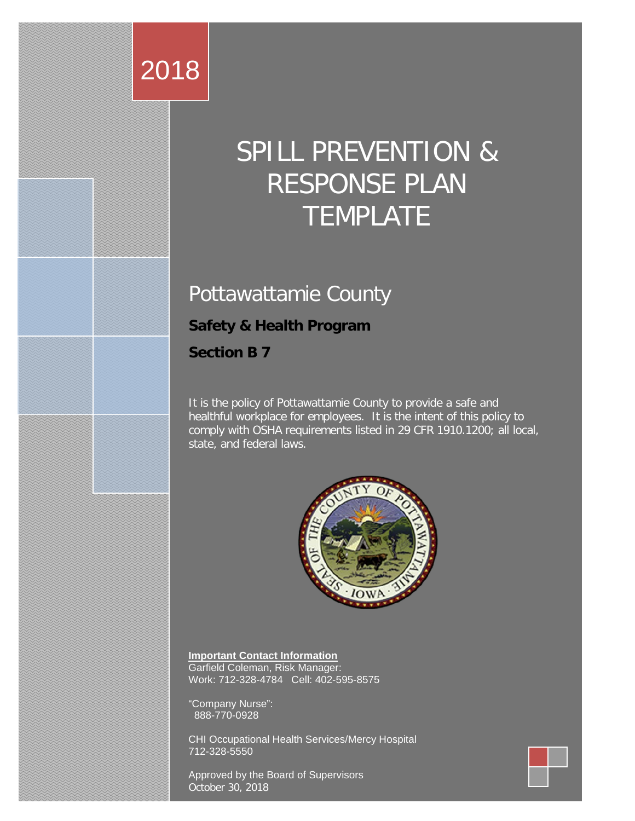# 2018

# SPILL PREVENTION & RESPONSE PLAN TEMPLATE

# Pottawattamie County

# **Safety & Health Program**

**Section B 7**

It is the policy of Pottawattamie County to provide a safe and healthful workplace for employees. It is the intent of this policy to comply with OSHA requirements listed in 29 CFR 1910.1200; all local, state, and federal laws.



**Important Contact Information** Garfield Coleman, Risk Manager: Work: 712-328-4784 Cell: 402-595-8575

"Company Nurse": 888-770-0928

CHI Occupational Health Services/Mercy Hospital 712-328-5550

Approved by the Board of Supervisors October 30, 2018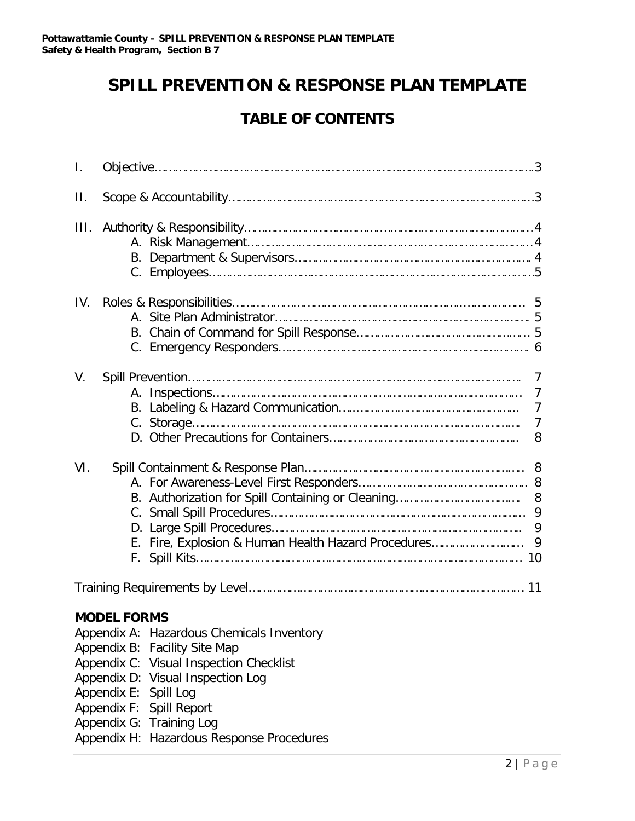# **SPILL PREVENTION & RESPONSE PLAN TEMPLATE**

# **TABLE OF CONTENTS**

| Τ.      |                                                                                                                                                                                  |  |  |  |  |  |  |
|---------|----------------------------------------------------------------------------------------------------------------------------------------------------------------------------------|--|--|--|--|--|--|
| $\prod$ |                                                                                                                                                                                  |  |  |  |  |  |  |
| III.    |                                                                                                                                                                                  |  |  |  |  |  |  |
| IV.     |                                                                                                                                                                                  |  |  |  |  |  |  |
| V.      | 7<br>$\overline{7}$<br>$\overline{7}$<br>$\overline{7}$<br>8                                                                                                                     |  |  |  |  |  |  |
| VI.     | 8<br>9<br>9<br>E. Fire, Explosion & Human Health Hazard Procedures<br>9                                                                                                          |  |  |  |  |  |  |
|         |                                                                                                                                                                                  |  |  |  |  |  |  |
|         | <b>MODEL FORMS</b><br>Appendix A: Hazardous Chemicals Inventory<br>Appendix B: Facility Site Map<br>Appendix C: Visual Inspection Checklist<br>Appendix D: Visual Inspection Log |  |  |  |  |  |  |

- Appendix E: Spill Log
- Appendix F: Spill Report
- Appendix G: Training Log
- Appendix H: Hazardous Response Procedures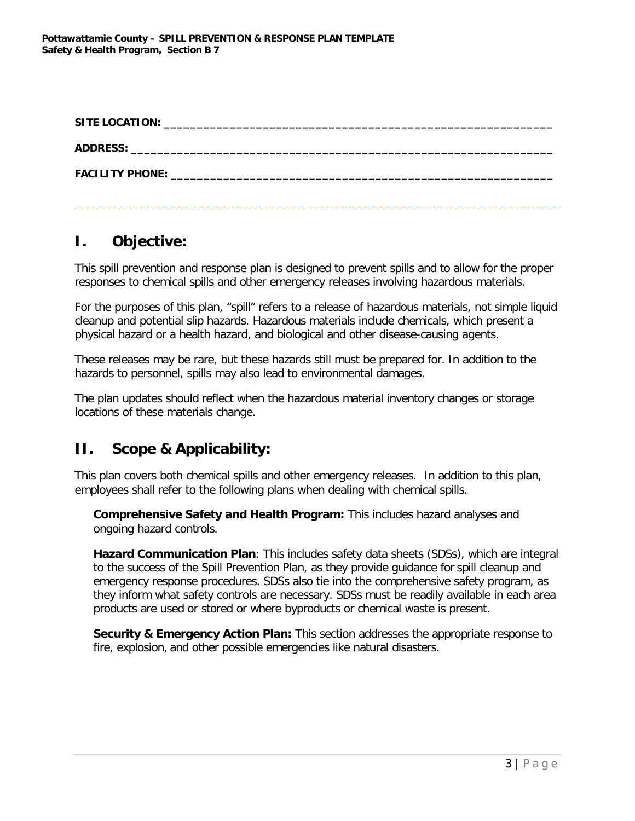| <b>SITE LOCATION:</b>  |  |
|------------------------|--|
|                        |  |
| <b>FACILITY PHONE:</b> |  |
|                        |  |

# **I. Objective:**

This spill prevention and response plan is designed to prevent spills and to allow for the proper responses to chemical spills and other emergency releases involving hazardous materials.

For the purposes of this plan, "spill" refers to a release of hazardous materials, not simple liquid cleanup and potential slip hazards. Hazardous materials include chemicals, which present a physical hazard or a health hazard, and biological and other disease-causing agents.

These releases may be rare, but these hazards still must be prepared for. In addition to the hazards to personnel, spills may also lead to environmental damages.

The plan updates should reflect when the hazardous material inventory changes or storage locations of these materials change.

# **II. Scope & Applicability:**

This plan covers both chemical spills and other emergency releases. In addition to this plan, employees shall refer to the following plans when dealing with chemical spills.

**Comprehensive Safety and Health Program:** This includes hazard analyses and ongoing hazard controls.

**Hazard Communication Plan**: This includes safety data sheets (SDSs), which are integral to the success of the Spill Prevention Plan, as they provide guidance for spill cleanup and emergency response procedures. SDSs also tie into the comprehensive safety program, as they inform what safety controls are necessary. SDSs must be readily available in each area products are used or stored or where byproducts or chemical waste is present.

**Security & Emergency Action Plan:** This section addresses the appropriate response to fire, explosion, and other possible emergencies like natural disasters.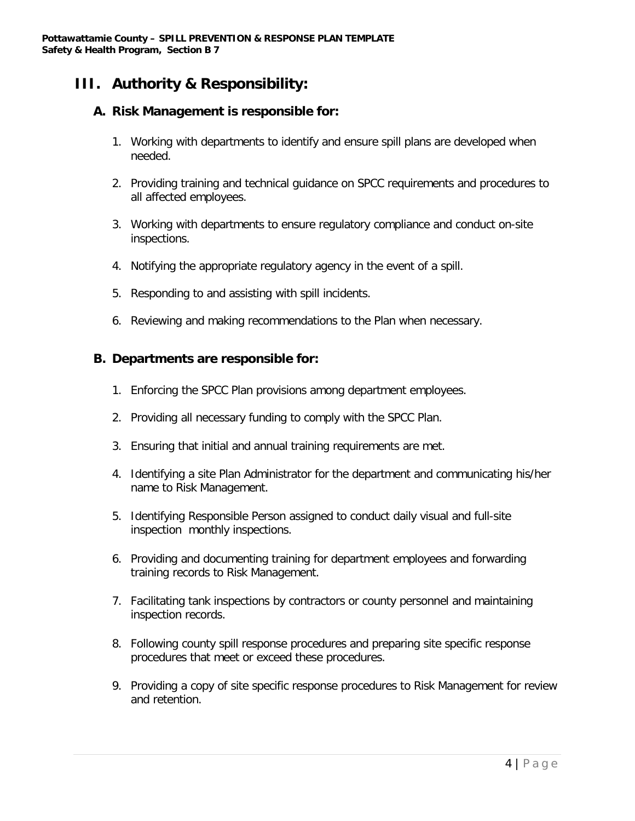# **III. Authority & Responsibility:**

#### **A. Risk Management is responsible for:**

- 1. Working with departments to identify and ensure spill plans are developed when needed.
- 2. Providing training and technical guidance on SPCC requirements and procedures to all affected employees.
- 3. Working with departments to ensure regulatory compliance and conduct on-site inspections.
- 4. Notifying the appropriate regulatory agency in the event of a spill.
- 5. Responding to and assisting with spill incidents.
- 6. Reviewing and making recommendations to the Plan when necessary.

#### **B. Departments are responsible for:**

- 1. Enforcing the SPCC Plan provisions among department employees.
- 2. Providing all necessary funding to comply with the SPCC Plan.
- 3. Ensuring that initial and annual training requirements are met.
- 4. Identifying a site Plan Administrator for the department and communicating his/her name to Risk Management.
- 5. Identifying Responsible Person assigned to conduct daily visual and full-site inspection monthly inspections.
- 6. Providing and documenting training for department employees and forwarding training records to Risk Management.
- 7. Facilitating tank inspections by contractors or county personnel and maintaining inspection records.
- 8. Following county spill response procedures and preparing site specific response procedures that meet or exceed these procedures.
- 9. Providing a copy of site specific response procedures to Risk Management for review and retention.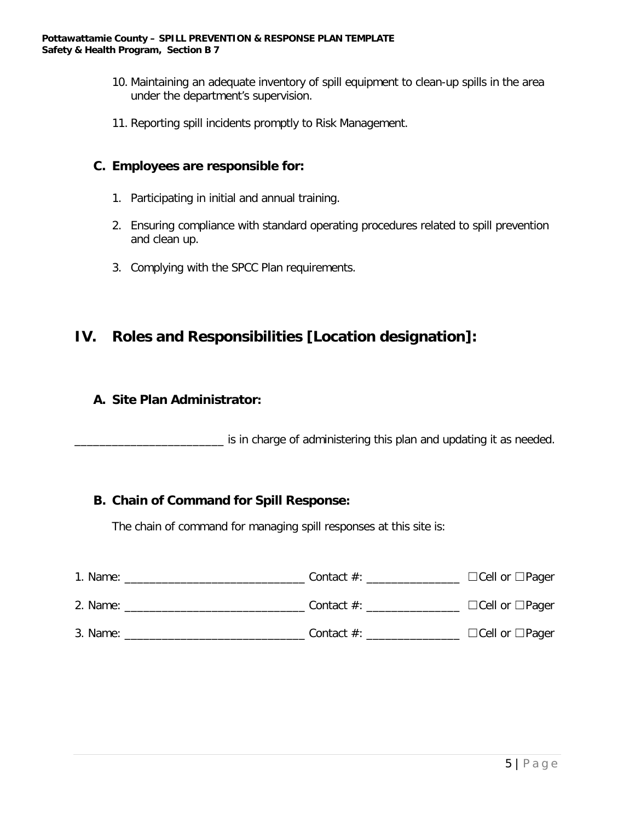- 10. Maintaining an adequate inventory of spill equipment to clean-up spills in the area under the department's supervision.
- 11. Reporting spill incidents promptly to Risk Management.

#### **C. Employees are responsible for:**

- 1. Participating in initial and annual training.
- 2. Ensuring compliance with standard operating procedures related to spill prevention and clean up.
- 3. Complying with the SPCC Plan requirements.

### **IV. Roles and Responsibilities [Location designation]:**

#### **A. Site Plan Administrator:**

 $\_$  is in charge of administering this plan and updating it as needed.

#### **B. Chain of Command for Spill Response:**

The chain of command for managing spill responses at this site is:

| 1. Name:                            | Contact $\#$ : $\_\_$ | $\Box$ Cell or $\Box$ Pager |
|-------------------------------------|-----------------------|-----------------------------|
| $2.$ Name: $\overline{\phantom{a}}$ | Contact $\#$ : $\_\_$ | $\Box$ Cell or $\Box$ Pager |
| 3. Name:                            | Contact $#$ :         | $\Box$ Cell or $\Box$ Pager |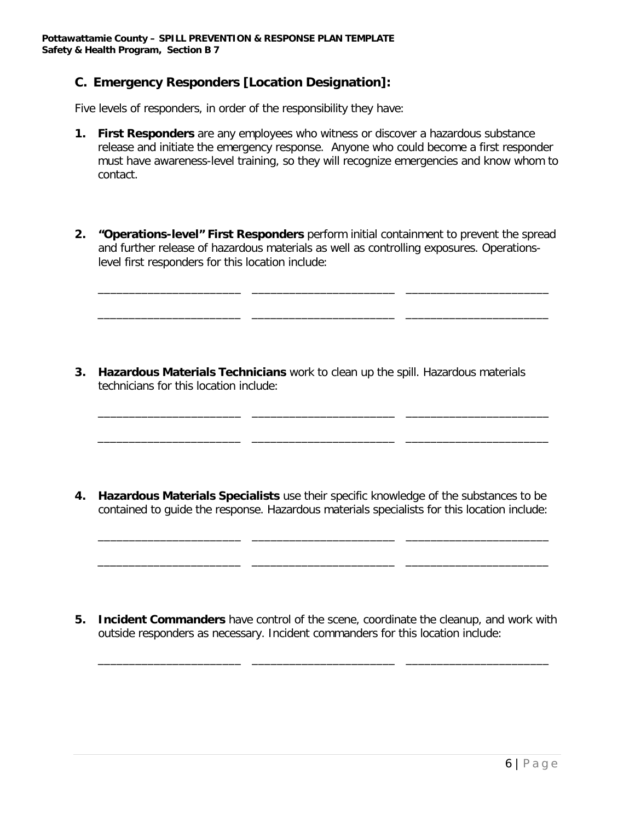#### **C. Emergency Responders [Location Designation]:**

Five levels of responders, in order of the responsibility they have:

- **1. First Responders** are any employees who witness or discover a hazardous substance release and initiate the emergency response. Anyone who could become a first responder must have awareness-level training, so they will recognize emergencies and know whom to contact.
- **2. "Operations-level" First Responders** perform initial containment to prevent the spread and further release of hazardous materials as well as controlling exposures. Operationslevel first responders for this location include:

\_\_\_\_\_\_\_\_\_\_\_\_\_\_\_\_\_\_\_\_\_\_\_ \_\_\_\_\_\_\_\_\_\_\_\_\_\_\_\_\_\_\_\_\_\_\_ \_\_\_\_\_\_\_\_\_\_\_\_\_\_\_\_\_\_\_\_\_\_\_

\_\_\_\_\_\_\_\_\_\_\_\_\_\_\_\_\_\_\_\_\_\_\_ \_\_\_\_\_\_\_\_\_\_\_\_\_\_\_\_\_\_\_\_\_\_\_ \_\_\_\_\_\_\_\_\_\_\_\_\_\_\_\_\_\_\_\_\_\_\_

\_\_\_\_\_\_\_\_\_\_\_\_\_\_\_\_\_\_\_\_\_\_\_ \_\_\_\_\_\_\_\_\_\_\_\_\_\_\_\_\_\_\_\_\_\_\_ \_\_\_\_\_\_\_\_\_\_\_\_\_\_\_\_\_\_\_\_\_\_\_

\_\_\_\_\_\_\_\_\_\_\_\_\_\_\_\_\_\_\_\_\_\_\_ \_\_\_\_\_\_\_\_\_\_\_\_\_\_\_\_\_\_\_\_\_\_\_ \_\_\_\_\_\_\_\_\_\_\_\_\_\_\_\_\_\_\_\_\_\_\_

**3. Hazardous Materials Technicians** work to clean up the spill. Hazardous materials technicians for this location include:

**4. Hazardous Materials Specialists** use their specific knowledge of the substances to be contained to guide the response. Hazardous materials specialists for this location include:

\_\_\_\_\_\_\_\_\_\_\_\_\_\_\_\_\_\_\_\_\_\_\_ \_\_\_\_\_\_\_\_\_\_\_\_\_\_\_\_\_\_\_\_\_\_\_ \_\_\_\_\_\_\_\_\_\_\_\_\_\_\_\_\_\_\_\_\_\_\_

\_\_\_\_\_\_\_\_\_\_\_\_\_\_\_\_\_\_\_\_\_\_\_ \_\_\_\_\_\_\_\_\_\_\_\_\_\_\_\_\_\_\_\_\_\_\_ \_\_\_\_\_\_\_\_\_\_\_\_\_\_\_\_\_\_\_\_\_\_\_

**5. Incident Commanders** have control of the scene, coordinate the cleanup, and work with outside responders as necessary. Incident commanders for this location include:

\_\_\_\_\_\_\_\_\_\_\_\_\_\_\_\_\_\_\_\_\_\_\_ \_\_\_\_\_\_\_\_\_\_\_\_\_\_\_\_\_\_\_\_\_\_\_ \_\_\_\_\_\_\_\_\_\_\_\_\_\_\_\_\_\_\_\_\_\_\_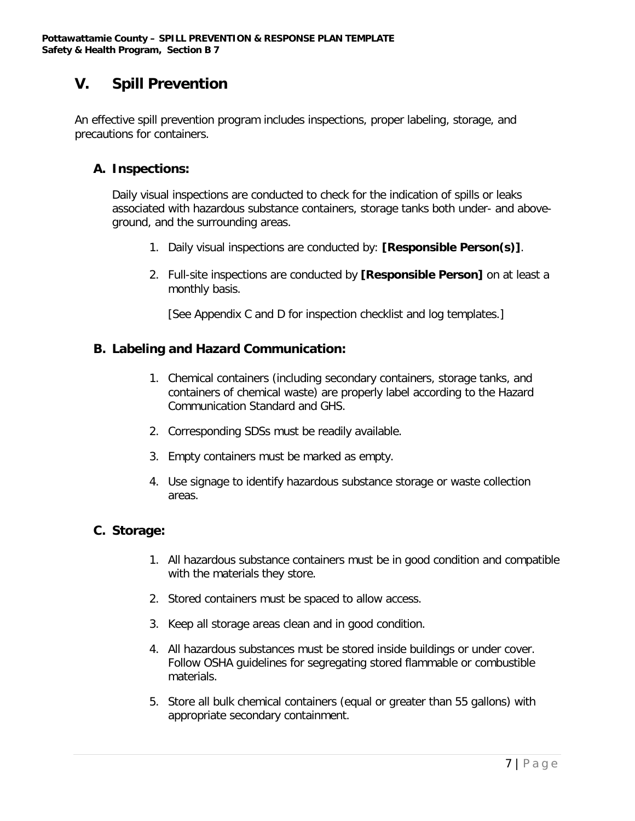# **V. Spill Prevention**

An effective spill prevention program includes inspections, proper labeling, storage, and precautions for containers.

#### **A. Inspections:**

Daily visual inspections are conducted to check for the indication of spills or leaks associated with hazardous substance containers, storage tanks both under- and aboveground, and the surrounding areas.

- 1. Daily visual inspections are conducted by: **[Responsible Person(s)]**.
- 2. Full-site inspections are conducted by **[Responsible Person]** on at least a monthly basis.

[See Appendix C and D for inspection checklist and log templates.]

#### **B. Labeling and Hazard Communication:**

- 1. Chemical containers (including secondary containers, storage tanks, and containers of chemical waste) are properly label according to the Hazard Communication Standard and GHS.
- 2. Corresponding SDSs must be readily available.
- 3. Empty containers must be marked as empty.
- 4. Use signage to identify hazardous substance storage or waste collection areas.

#### **C. Storage:**

- 1. All hazardous substance containers must be in good condition and compatible with the materials they store.
- 2. Stored containers must be spaced to allow access.
- 3. Keep all storage areas clean and in good condition.
- 4. All hazardous substances must be stored inside buildings or under cover. Follow OSHA guidelines for segregating stored flammable or combustible materials.
- 5. Store all bulk chemical containers (equal or greater than 55 gallons) with appropriate secondary containment.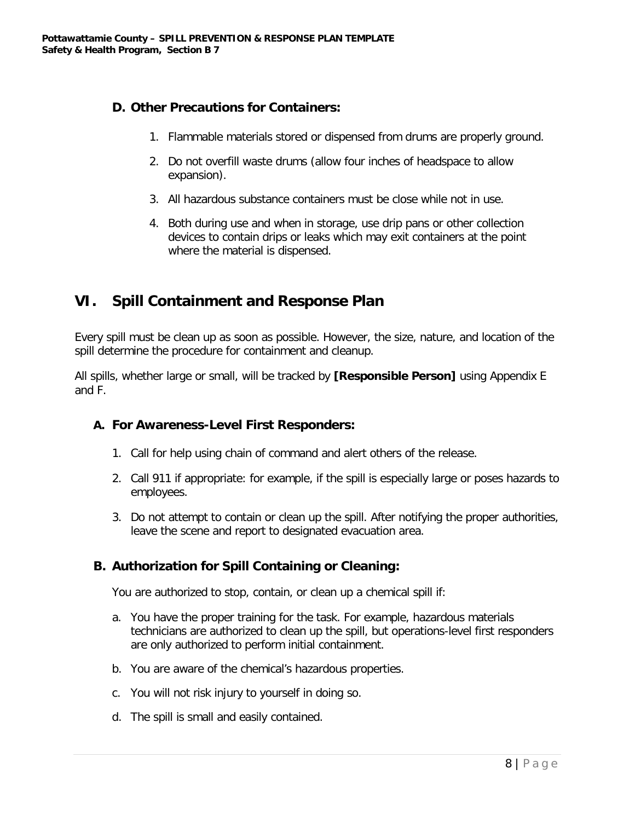#### **D. Other Precautions for Containers:**

- 1. Flammable materials stored or dispensed from drums are properly ground.
- 2. Do not overfill waste drums (allow four inches of headspace to allow expansion).
- 3. All hazardous substance containers must be close while not in use.
- 4. Both during use and when in storage, use drip pans or other collection devices to contain drips or leaks which may exit containers at the point where the material is dispensed.

# **VI. Spill Containment and Response Plan**

Every spill must be clean up as soon as possible. However, the size, nature, and location of the spill determine the procedure for containment and cleanup.

All spills, whether large or small, will be tracked by **[Responsible Person]** using Appendix E and F.

#### **A. For Awareness-Level First Responders:**

- 1. Call for help using chain of command and alert others of the release.
- 2. Call 911 if appropriate: for example, if the spill is especially large or poses hazards to employees.
- 3. Do not attempt to contain or clean up the spill. After notifying the proper authorities, leave the scene and report to designated evacuation area.

#### **B. Authorization for Spill Containing or Cleaning:**

You are authorized to stop, contain, or clean up a chemical spill if:

- a. You have the proper training for the task. For example, hazardous materials technicians are authorized to clean up the spill, but operations-level first responders are only authorized to perform initial containment.
- b. You are aware of the chemical's hazardous properties.
- c. You will not risk injury to yourself in doing so.
- d. The spill is small and easily contained.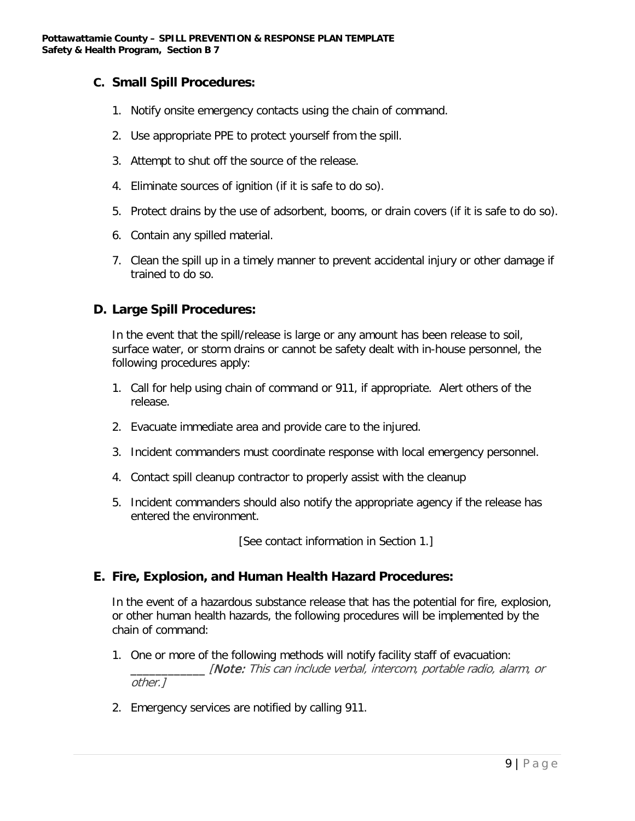#### **C. Small Spill Procedures:**

- 1. Notify onsite emergency contacts using the chain of command.
- 2. Use appropriate PPE to protect yourself from the spill.
- 3. Attempt to shut off the source of the release.
- 4. Eliminate sources of ignition (if it is safe to do so).
- 5. Protect drains by the use of adsorbent, booms, or drain covers (if it is safe to do so).
- 6. Contain any spilled material.
- 7. Clean the spill up in a timely manner to prevent accidental injury or other damage if trained to do so.

#### **D. Large Spill Procedures:**

In the event that the spill/release is large or any amount has been release to soil, surface water, or storm drains or cannot be safety dealt with in-house personnel, the following procedures apply:

- 1. Call for help using chain of command or 911, if appropriate. Alert others of the release.
- 2. Evacuate immediate area and provide care to the injured.
- 3. Incident commanders must coordinate response with local emergency personnel.
- 4. Contact spill cleanup contractor to properly assist with the cleanup
- 5. Incident commanders should also notify the appropriate agency if the release has entered the environment.

[See contact information in Section 1.]

#### **E. Fire, Explosion, and Human Health Hazard Procedures:**

In the event of a hazardous substance release that has the potential for fire, explosion, or other human health hazards, the following procedures will be implemented by the chain of command:

- 1. One or more of the following methods will notify facility staff of evacuation: \_\_\_\_\_\_\_\_\_\_\_\_ [Note: This can include verbal, intercom, portable radio, alarm, or other.]
- 2. Emergency services are notified by calling 911.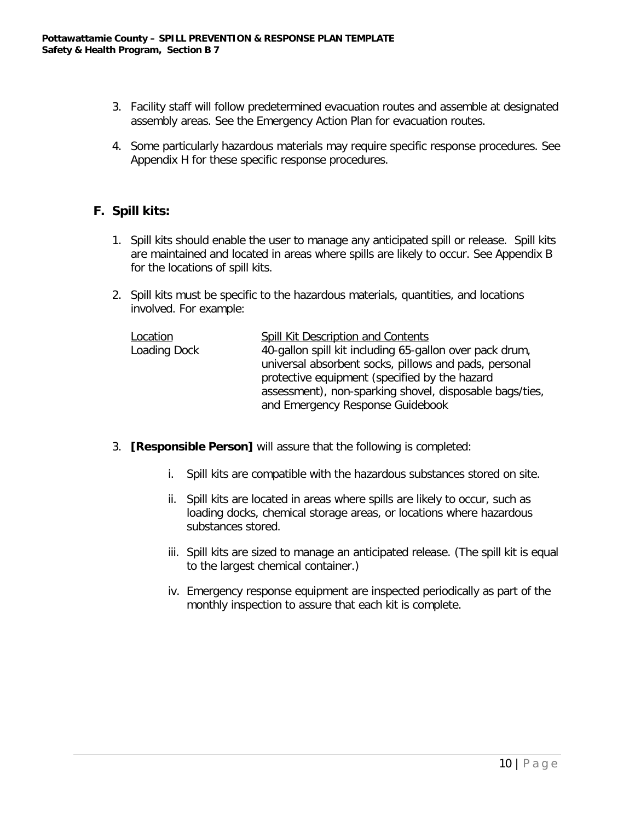- 3. Facility staff will follow predetermined evacuation routes and assemble at designated assembly areas. See the Emergency Action Plan for evacuation routes.
- 4. Some particularly hazardous materials may require specific response procedures. See Appendix H for these specific response procedures.

#### **F. Spill kits:**

- 1. Spill kits should enable the user to manage any anticipated spill or release. Spill kits are maintained and located in areas where spills are likely to occur. See Appendix B for the locations of spill kits.
- 2. Spill kits must be specific to the hazardous materials, quantities, and locations involved. For example:

| Location     | Spill Kit Description and Contents                      |
|--------------|---------------------------------------------------------|
| Loading Dock | 40-gallon spill kit including 65-gallon over pack drum, |
|              | universal absorbent socks, pillows and pads, personal   |
|              | protective equipment (specified by the hazard           |
|              | assessment), non-sparking shovel, disposable bags/ties, |
|              | and Emergency Response Guidebook                        |

- 3. **[Responsible Person]** will assure that the following is completed:
	- i. Spill kits are compatible with the hazardous substances stored on site.
	- ii. Spill kits are located in areas where spills are likely to occur, such as loading docks, chemical storage areas, or locations where hazardous substances stored.
	- iii. Spill kits are sized to manage an anticipated release. (The spill kit is equal to the largest chemical container.)
	- iv. Emergency response equipment are inspected periodically as part of the monthly inspection to assure that each kit is complete.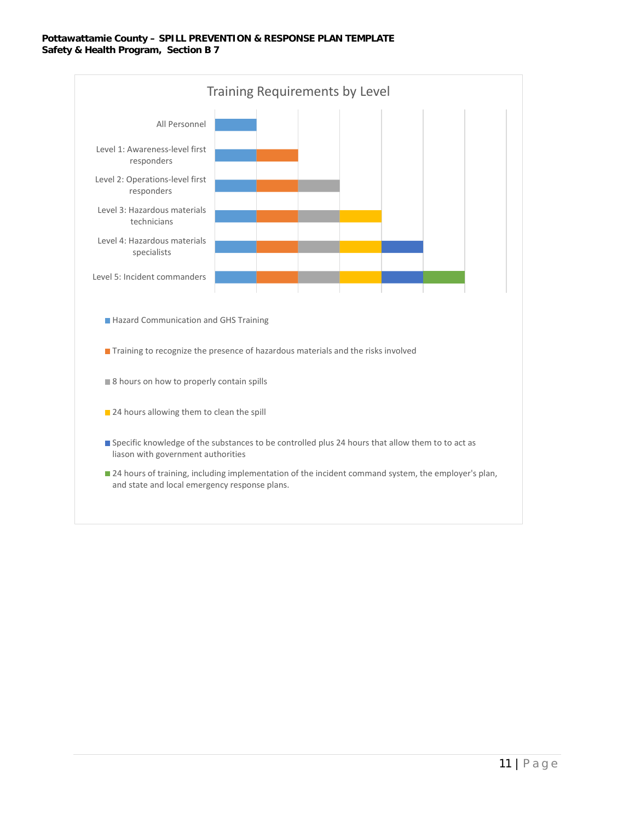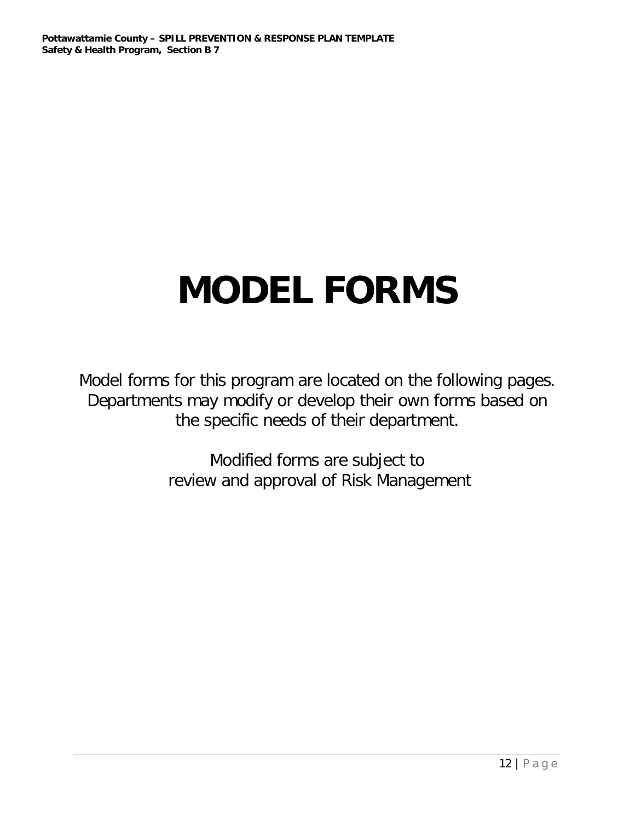# **MODEL FORMS**

Model forms for this program are located on the following pages. Departments may modify or develop their own forms based on the specific needs of their department.

> Modified forms are subject to review and approval of Risk Management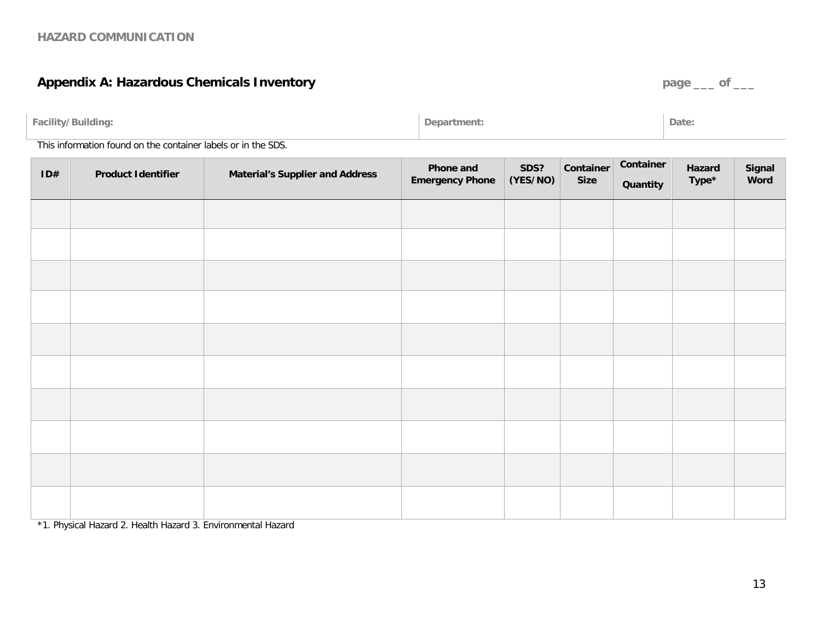# **Appendix A: Hazardous Chemicals Inventory** *page* **\_\_\_ of \_\_\_**

| <br>·acility<br>*/Building:<br>$\overline{\phantom{a}}$ | rtment | Date: |
|---------------------------------------------------------|--------|-------|
|                                                         |        |       |

This information found on the container labels or in the SDS.

| ID# | <b>Product Identifier</b> | <b>Material's Supplier and Address</b> | <b>Phone and</b><br><b>Emergency Phone</b> | SDS?<br>(YES/NO) | Container<br><b>Size</b> | Container<br>Quantity | Hazard<br>Type* | Signal<br>Word |
|-----|---------------------------|----------------------------------------|--------------------------------------------|------------------|--------------------------|-----------------------|-----------------|----------------|
|     |                           |                                        |                                            |                  |                          |                       |                 |                |
|     |                           |                                        |                                            |                  |                          |                       |                 |                |
|     |                           |                                        |                                            |                  |                          |                       |                 |                |
|     |                           |                                        |                                            |                  |                          |                       |                 |                |
|     |                           |                                        |                                            |                  |                          |                       |                 |                |
|     |                           |                                        |                                            |                  |                          |                       |                 |                |
|     |                           |                                        |                                            |                  |                          |                       |                 |                |
|     |                           |                                        |                                            |                  |                          |                       |                 |                |
|     |                           |                                        |                                            |                  |                          |                       |                 |                |
|     |                           |                                        |                                            |                  |                          |                       |                 |                |

\*1. Physical Hazard 2. Health Hazard 3. Environmental Hazard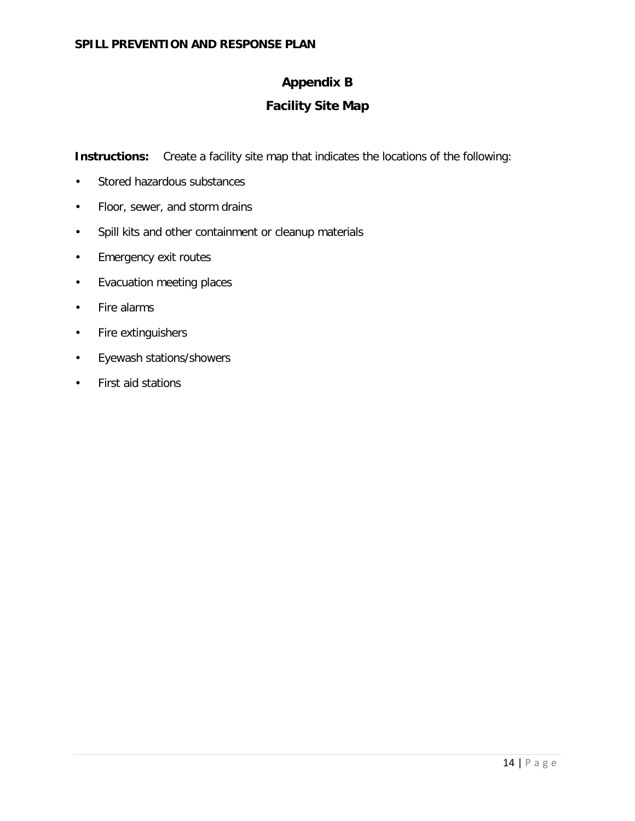#### **Appendix B**

#### **Facility Site Map**

**Instructions:** Create a facility site map that indicates the locations of the following:

- Stored hazardous substances
- Floor, sewer, and storm drains
- Spill kits and other containment or cleanup materials
- Emergency exit routes
- Evacuation meeting places
- Fire alarms
- Fire extinguishers
- Eyewash stations/showers
- First aid stations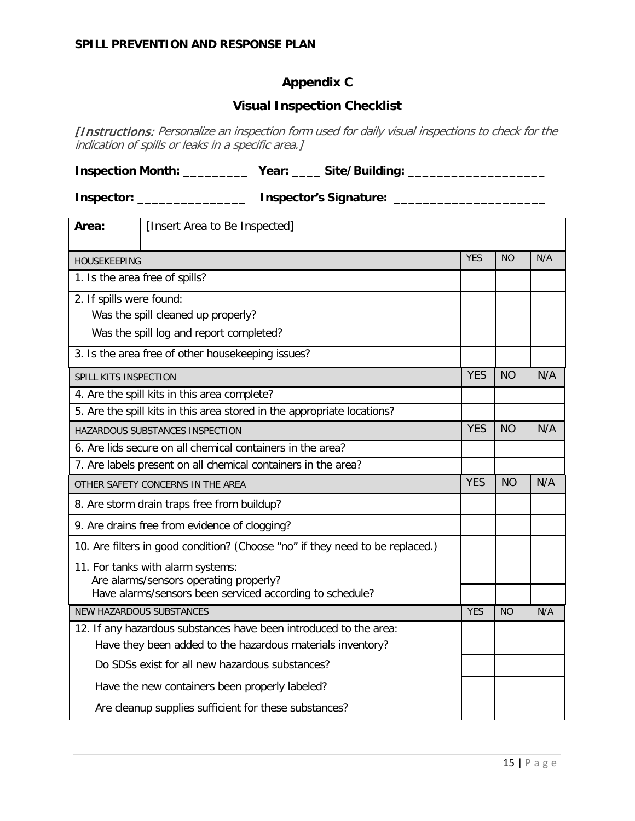#### **Appendix C**

#### **Visual Inspection Checklist**

[Instructions: Personalize an inspection form used for daily visual inspections to check for the indication of spills or leaks in a specific area.]

**Inspection Month: \_\_\_\_\_\_\_\_\_\_\_ Year: \_\_\_\_\_ Site/Building: \_\_\_\_\_\_\_\_\_\_\_\_\_\_\_\_\_\_\_\_\_\_** 

**Inspector: \_\_\_\_\_\_\_\_\_\_\_\_\_\_\_\_\_\_\_ Inspector's Signature: \_\_\_\_\_\_\_\_\_\_\_\_\_\_\_\_\_\_\_\_\_\_\_\_\_** 

| Area:                                                                                              | [Insert Area to Be Inspected]                                                 |            |           |     |  |  |  |
|----------------------------------------------------------------------------------------------------|-------------------------------------------------------------------------------|------------|-----------|-----|--|--|--|
| <b>HOUSEKEEPING</b>                                                                                |                                                                               | <b>YES</b> | <b>NO</b> | N/A |  |  |  |
| 1. Is the area free of spills?                                                                     |                                                                               |            |           |     |  |  |  |
| 2. If spills were found:                                                                           |                                                                               |            |           |     |  |  |  |
|                                                                                                    | Was the spill cleaned up properly?                                            |            |           |     |  |  |  |
|                                                                                                    | Was the spill log and report completed?                                       |            |           |     |  |  |  |
|                                                                                                    | 3. Is the area free of other housekeeping issues?                             |            |           |     |  |  |  |
| SPILL KITS INSPECTION                                                                              |                                                                               | <b>YES</b> | <b>NO</b> | N/A |  |  |  |
|                                                                                                    | 4. Are the spill kits in this area complete?                                  |            |           |     |  |  |  |
|                                                                                                    | 5. Are the spill kits in this area stored in the appropriate locations?       |            |           |     |  |  |  |
|                                                                                                    | HAZARDOUS SUBSTANCES INSPECTION                                               | <b>YES</b> | <b>NO</b> | N/A |  |  |  |
|                                                                                                    | 6. Are lids secure on all chemical containers in the area?                    |            |           |     |  |  |  |
|                                                                                                    | 7. Are labels present on all chemical containers in the area?                 |            |           |     |  |  |  |
| OTHER SAFETY CONCERNS IN THE AREA                                                                  | <b>YES</b>                                                                    | <b>NO</b>  | N/A       |     |  |  |  |
|                                                                                                    | 8. Are storm drain traps free from buildup?                                   |            |           |     |  |  |  |
|                                                                                                    | 9. Are drains free from evidence of clogging?                                 |            |           |     |  |  |  |
|                                                                                                    | 10. Are filters in good condition? (Choose "no" if they need to be replaced.) |            |           |     |  |  |  |
|                                                                                                    | 11. For tanks with alarm systems:                                             |            |           |     |  |  |  |
| Are alarms/sensors operating properly?<br>Have alarms/sensors been serviced according to schedule? |                                                                               |            |           |     |  |  |  |
| <b>NEW HAZARDOUS SUBSTANCES</b>                                                                    | <b>YES</b>                                                                    | <b>NO</b>  | N/A       |     |  |  |  |
|                                                                                                    | 12. If any hazardous substances have been introduced to the area:             |            |           |     |  |  |  |
| Have they been added to the hazardous materials inventory?                                         |                                                                               |            |           |     |  |  |  |
| Do SDSs exist for all new hazardous substances?                                                    |                                                                               |            |           |     |  |  |  |
|                                                                                                    | Have the new containers been properly labeled?                                |            |           |     |  |  |  |
|                                                                                                    | Are cleanup supplies sufficient for these substances?                         |            |           |     |  |  |  |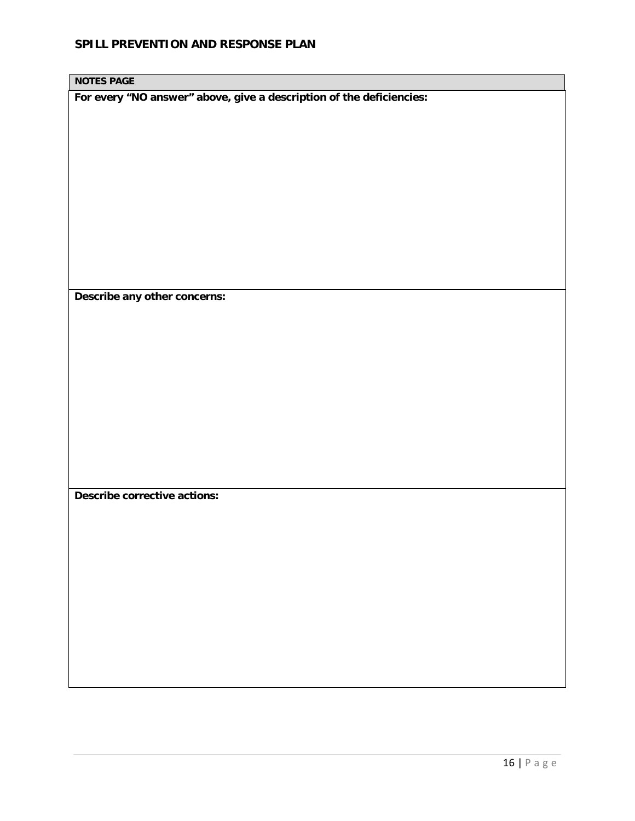**NOTES PAGE**

**For every "NO answer" above, give a description of the deficiencies:**

**Describe any other concerns:**

**Describe corrective actions:**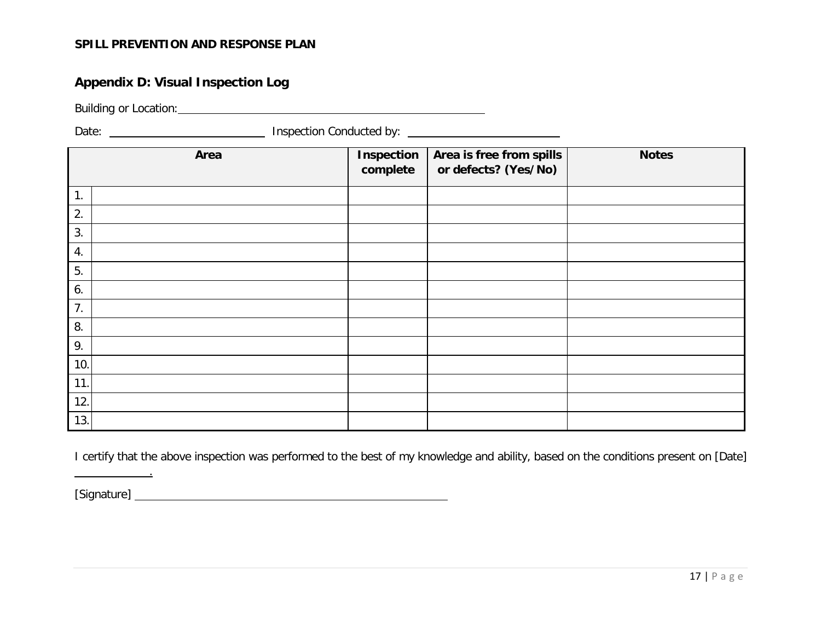#### **Appendix D: Visual Inspection Log**

Building or Location:

Date: <u>New York: Inspection Conducted by:</u> New York: New York: New York: New York: New York: New York: New York: New York: New York: New York: New York: New York: New York: New York: New York: New York: New York: New York:

|     | Area | <b>Inspection</b><br>complete | Area is free from spills<br>or defects? (Yes/No) | <b>Notes</b> |
|-----|------|-------------------------------|--------------------------------------------------|--------------|
| 1.  |      |                               |                                                  |              |
| 2.  |      |                               |                                                  |              |
| 3.  |      |                               |                                                  |              |
| 4.  |      |                               |                                                  |              |
| 5.  |      |                               |                                                  |              |
| 6.  |      |                               |                                                  |              |
| 7.  |      |                               |                                                  |              |
| 8.  |      |                               |                                                  |              |
| 9.  |      |                               |                                                  |              |
| 10. |      |                               |                                                  |              |
| 11. |      |                               |                                                  |              |
| 12. |      |                               |                                                  |              |
| 13. |      |                               |                                                  |              |

I certify that the above inspection was performed to the best of my knowledge and ability, based on the conditions present on [Date]

[Signature]

.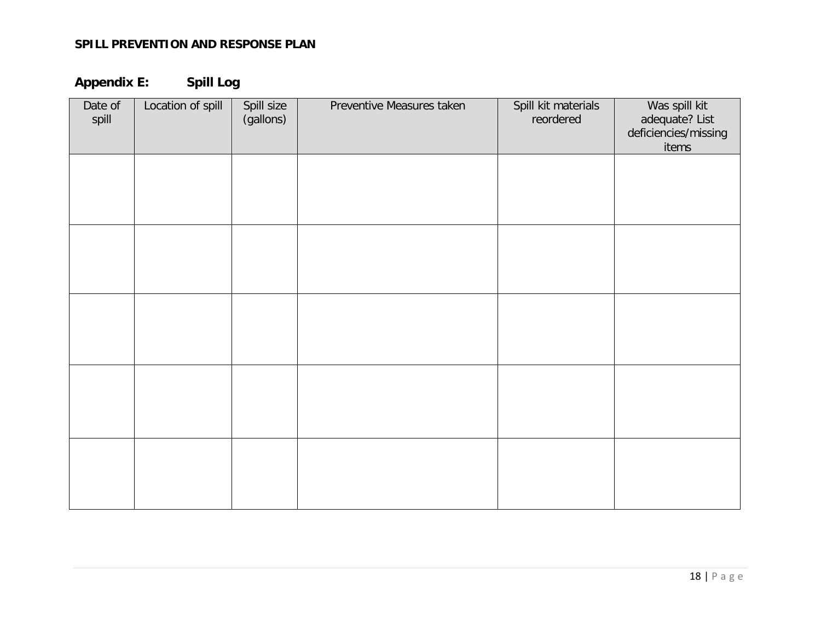**Appendix E: Spill Log**

| Date of<br>spill | Location of spill | Spill size<br>(gallons) | Preventive Measures taken | Spill kit materials<br>reordered | Was spill kit<br>adequate? List<br>deficiencies/missing<br>items |
|------------------|-------------------|-------------------------|---------------------------|----------------------------------|------------------------------------------------------------------|
|                  |                   |                         |                           |                                  |                                                                  |
|                  |                   |                         |                           |                                  |                                                                  |
|                  |                   |                         |                           |                                  |                                                                  |
|                  |                   |                         |                           |                                  |                                                                  |
|                  |                   |                         |                           |                                  |                                                                  |
|                  |                   |                         |                           |                                  |                                                                  |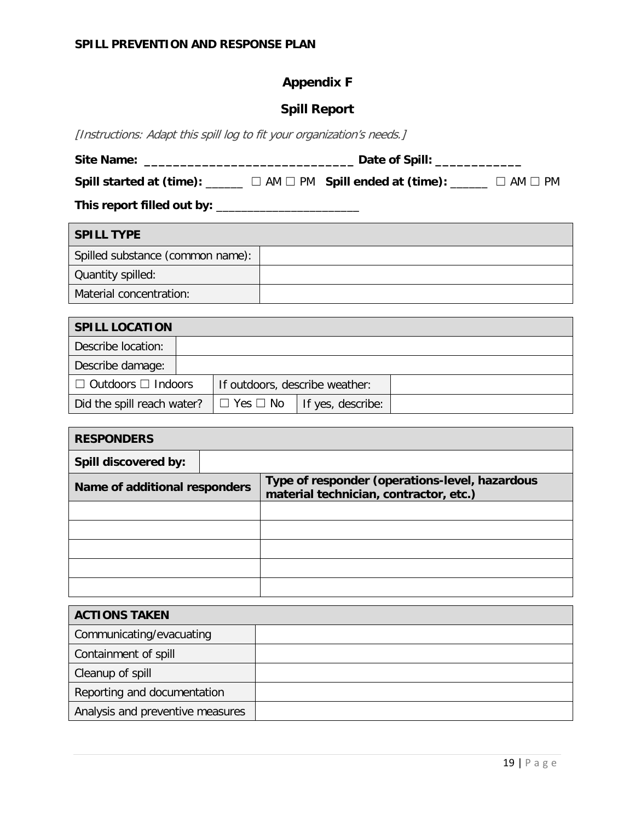# **Appendix F**

#### **Spill Report**

[Instructions: Adapt this spill log to fit your organization's needs.]

| <b>Site Name:</b> | Date of Spill: |  |  |  |  |  |  |              |  |
|-------------------|----------------|--|--|--|--|--|--|--------------|--|
|                   |                |  |  |  |  |  |  |              |  |
| _______           |                |  |  |  |  |  |  | ____________ |  |

**Spill started at (time):** \_\_\_\_\_\_ ☐ AM ☐ PM **Spill ended at (time):** \_\_\_\_\_\_ ☐ AM ☐ PM

**This report filled out by:** \_\_\_\_\_\_\_\_\_\_\_\_\_\_\_\_\_\_\_\_\_\_\_

| <b>SPILL TYPE</b>                |  |
|----------------------------------|--|
| Spilled substance (common name): |  |
| Quantity spilled:                |  |
| Material concentration:          |  |

| <b>SPILL LOCATION</b>          |  |                                |                   |  |  |  |
|--------------------------------|--|--------------------------------|-------------------|--|--|--|
| Describe location:             |  |                                |                   |  |  |  |
| Describe damage:               |  |                                |                   |  |  |  |
| $\Box$ Outdoors $\Box$ Indoors |  | If outdoors, describe weather: |                   |  |  |  |
| Did the spill reach water?     |  | $\Box$ Yes $\Box$ No           | If yes, describe: |  |  |  |

| <b>RESPONDERS</b>             |  |                                                                                          |  |  |
|-------------------------------|--|------------------------------------------------------------------------------------------|--|--|
| Spill discovered by:          |  |                                                                                          |  |  |
| Name of additional responders |  | Type of responder (operations-level, hazardous<br>material technician, contractor, etc.) |  |  |
|                               |  |                                                                                          |  |  |
|                               |  |                                                                                          |  |  |
|                               |  |                                                                                          |  |  |
|                               |  |                                                                                          |  |  |
|                               |  |                                                                                          |  |  |

| <b>ACTIONS TAKEN</b>             |  |  |
|----------------------------------|--|--|
| Communicating/evacuating         |  |  |
| Containment of spill             |  |  |
| Cleanup of spill                 |  |  |
| Reporting and documentation      |  |  |
| Analysis and preventive measures |  |  |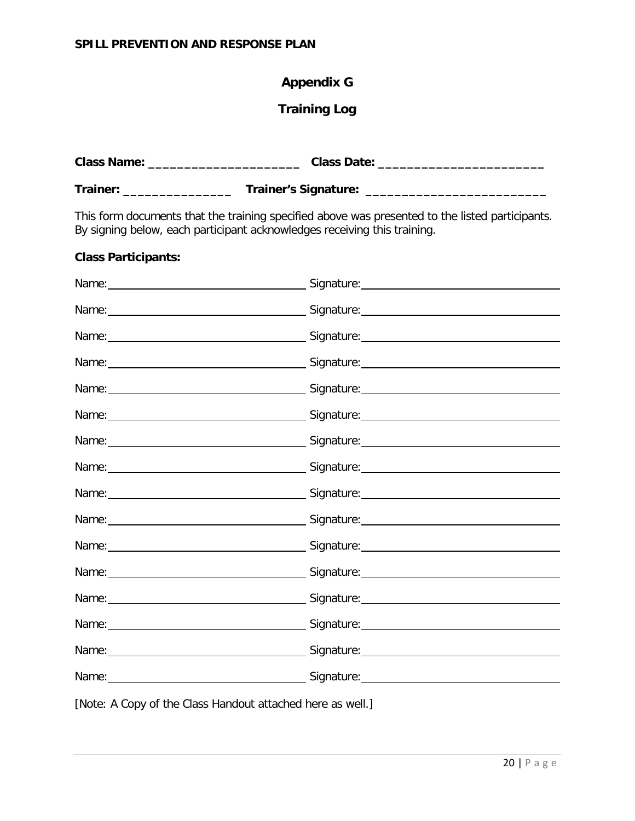# **Appendix G**

#### **Training Log**

|                            | This form documents that the training specified above was presented to the listed participants.<br>By signing below, each participant acknowledges receiving this training. |
|----------------------------|-----------------------------------------------------------------------------------------------------------------------------------------------------------------------------|
| <b>Class Participants:</b> |                                                                                                                                                                             |
|                            |                                                                                                                                                                             |
|                            |                                                                                                                                                                             |
|                            |                                                                                                                                                                             |
|                            |                                                                                                                                                                             |
|                            |                                                                                                                                                                             |
|                            |                                                                                                                                                                             |
|                            |                                                                                                                                                                             |
|                            |                                                                                                                                                                             |
|                            |                                                                                                                                                                             |
|                            |                                                                                                                                                                             |
|                            |                                                                                                                                                                             |
|                            |                                                                                                                                                                             |
|                            |                                                                                                                                                                             |
|                            |                                                                                                                                                                             |
|                            |                                                                                                                                                                             |
|                            |                                                                                                                                                                             |

[Note: A Copy of the Class Handout attached here as well.]